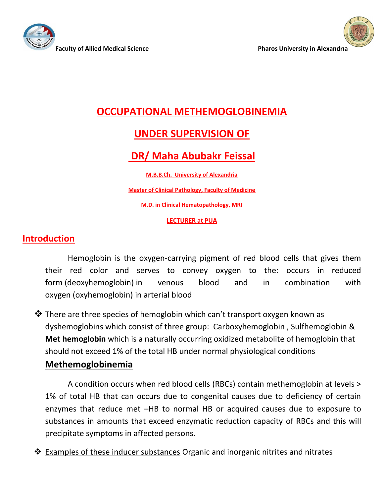



# **OCCUPATIONAL METHEMOGLOBINEMIA**

## **UNDER SUPERVISION OF**

# **DR/ Maha Abubakr Feissal**

**M.B.B.Ch. University of Alexandria**

**Master of Clinical Pathology, Faculty of Medicine**

**M.D. in Clinical Hematopathology, MRI**

#### **LECTURER at PUA**

#### **Introduction**

Hemoglobin is the oxygen-carrying pigment of red blood cells that gives them their red color and serves to convey oxygen to the: occurs in reduced form (deoxyhemoglobin) in venous blood and in combination with oxygen (oxyhemoglobin) in arterial blood

❖ There are three species of hemoglobin which can't transport oxygen known as dyshemoglobins which consist of three group: Carboxyhemoglobin , Sulfhemoglobin & **Met hemoglobin** which is a naturally occurring oxidized metabolite of hemoglobin that should not exceed 1% of the total HB under normal physiological conditions

#### **Methemoglobinemia**

A condition occurs when red blood cells (RBCs) contain methemoglobin at levels > 1% of total HB that can occurs due to congenital causes due to deficiency of certain enzymes that reduce met –HB to normal HB or acquired causes due to exposure to substances in amounts that exceed enzymatic reduction capacity of RBCs and this will precipitate symptoms in affected persons.

❖ Examples of these inducer substances Organic and inorganic nitrites and nitrates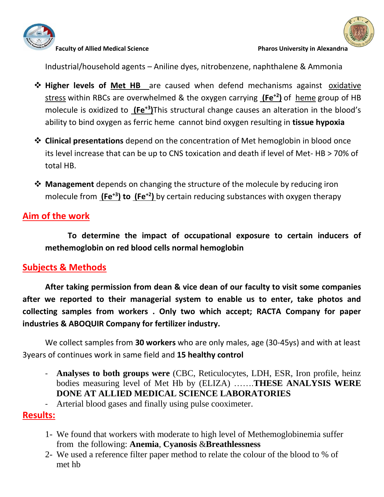



Industrial/household agents – Aniline dyes, nitrobenzene, naphthalene & Ammonia

- ❖ **Higher levels of Met HB** are caused when defend mechanisms against [oxidative](https://en.wikipedia.org/wiki/Oxidative_stress)  [stress](https://en.wikipedia.org/wiki/Oxidative_stress) within RBCs are overwhelmed & the oxygen carrying **[\(Fe](https://en.wikipedia.org/wiki/Ferric)+2[\)](https://en.wikipedia.org/wiki/Ferric)** of [heme](https://en.wikipedia.org/wiki/Heme) group of HB molecule is oxidized to **[\(Fe](https://en.wikipedia.org/wiki/Ferric)+3[\)](https://en.wikipedia.org/wiki/Ferric)**This structural change causes an alteration in the blood's ability to bind oxygen as ferric heme cannot bind oxygen resulting in **tissue hypoxia**
- ❖ **Clinical presentations** depend on the concentration of Met hemoglobin in blood once its level increase that can be up to CNS toxication and death if level of Met- HB > 70% of total HB.
- ❖ **Management** depends on changing the structure of the molecule by reducing iron molecule from **[\(Fe](https://en.wikipedia.org/wiki/Ferric)+3[\)](https://en.wikipedia.org/wiki/Ferric) to [\(Fe](https://en.wikipedia.org/wiki/Ferric)+2[\)](https://en.wikipedia.org/wiki/Ferric)** by certain reducing substances with oxygen therapy

### **Aim of the work**

**To determine the impact of occupational exposure to certain inducers of methemoglobin on red blood cells normal hemoglobin**

### **Subjects & Methods**

**After taking permission from dean & vice dean of our faculty to visit some companies after we reported to their managerial system to enable us to enter, take photos and collecting samples from workers . Only two which accept; RACTA Company for paper industries & ABOQUIR Company for fertilizer industry.**

We collect samples from **30 workers** who are only males, age (30-45ys) and with at least 3years of continues work in same field and **15 healthy control**

- **Analyses to both groups were** (CBC, Reticulocytes, LDH, ESR, Iron profile, heinz bodies measuring level of Met Hb by (ELIZA) …….**THESE ANALYSIS WERE DONE AT ALLIED MEDICAL SCIENCE LABORATORIES**
- Arterial blood gases and finally using pulse cooximeter.

#### **Results:**

- 1- We found that workers with moderate to high level of Methemoglobinemia suffer from the following: **Anemia**, **Cyanosis** &**Breathlessness**
- 2- We used a reference filter paper method to relate the colour of the blood to % of met hb